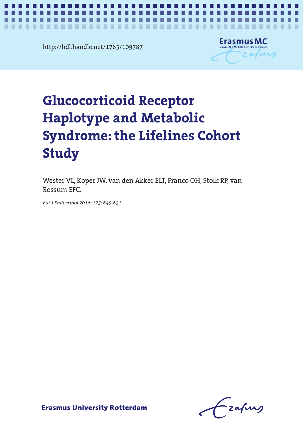http://hdl.handle.net/1765/109787

...........

. . ш

. .



*GR haplotype and metabolic syndrome* **1**

# orticoid Receptor<br>ype and Metabolic<br>me: the Lifelines Cebert Haplotype and Metabolic **Haplotype and Metabolic**  Syndrome: the Lifelines **Syndrome: the Lifelines Cohort Glucocorticoid Receptor Study**

٠

٠ **COL** × **COL** 

Wester VL, Koper JW, van den Akker ELT, Franco OH, Stolk RP, van Rossum EFC.

*Eur J Endocrinol 2016; 175: 645-651.*

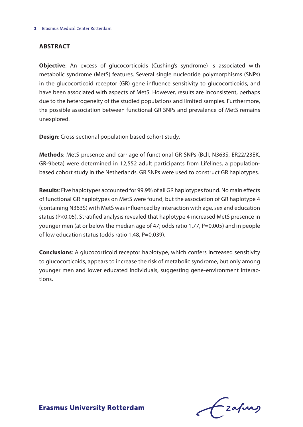#### **Abstract**

**Objective**: An excess of glucocorticoids (Cushing's syndrome) is associated with metabolic syndrome (MetS) features. Several single nucleotide polymorphisms (SNPs) in the glucocorticoid receptor (GR) gene influence sensitivity to glucocorticoids, and have been associated with aspects of MetS. However, results are inconsistent, perhaps due to the heterogeneity of the studied populations and limited samples. Furthermore, the possible association between functional GR SNPs and prevalence of MetS remains unexplored.

**Design**: Cross-sectional population based cohort study.

**Methods**: MetS presence and carriage of functional GR SNPs (BclI, N363S, ER22/23EK, GR-9beta) were determined in 12,552 adult participants from Lifelines, a populationbased cohort study in the Netherlands. GR SNPs were used to construct GR haplotypes.

**Results**: Five haplotypes accounted for 99.9% of all GR haplotypes found. No main effects of functional GR haplotypes on MetS were found, but the association of GR haplotype 4 (containing N363S) with MetS was influenced by interaction with age, sex and education status (P<0.05). Stratified analysis revealed that haplotype 4 increased MetS presence in younger men (at or below the median age of 47; odds ratio 1.77, P=0.005) and in people of low education status (odds ratio 1.48, P=0.039).

**Conclusions**: A glucocorticoid receptor haplotype, which confers increased sensitivity to glucocorticoids, appears to increase the risk of metabolic syndrome, but only among younger men and lower educated individuals, suggesting gene-environment interactions.

Lzafurg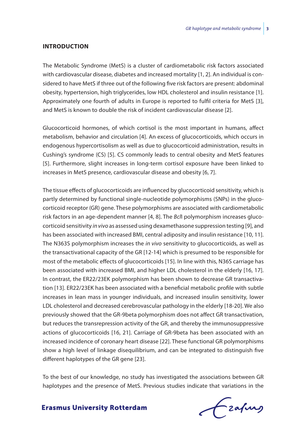#### **Introduction**

The Metabolic Syndrome (MetS) is a cluster of cardiometabolic risk factors associated with cardiovascular disease, diabetes and increased mortality [1, 2]. An individual is considered to have MetS if three out of the following five risk factors are present: abdominal obesity, hypertension, high triglycerides, low HDL cholesterol and insulin resistance [1]. Approximately one fourth of adults in Europe is reported to fulfil criteria for MetS [3], and MetS is known to double the risk of incident cardiovascular disease [2].

Glucocorticoid hormones, of which cortisol is the most important in humans, affect metabolism, behavior and circulation [4]. An excess of glucocorticoids, which occurs in endogenous hypercortisolism as well as due to glucocorticoid administration, results in Cushing's syndrome (CS) [5]. CS commonly leads to central obesity and MetS features [5]. Furthermore, slight increases in long-term cortisol exposure have been linked to increases in MetS presence, cardiovascular disease and obesity [6, 7].

The tissue effects of glucocorticoids are influenced by glucocorticoid sensitivity, which is partly determined by functional single-nucleotide polymorphisms (SNPs) in the glucocorticoid receptor (GR) gene. These polymorphisms are associated with cardiometabolic risk factors in an age-dependent manner [4, 8]. The *Bcl*I polymorphism increases glucocorticoid sensitivity *in vivo* as assessed using dexamethasone suppression testing [9], and has been associated with increased BMI, central adiposity and insulin resistance [10, 11]. The N363S polymorphism increases the *in vivo* sensitivity to glucocorticoids, as well as the transactivational capacity of the GR [12-14] which is presumed to be responsible for most of the metabolic effects of glucocorticoids [15]. In line with this, N36S carriage has been associated with increased BMI, and higher LDL cholesterol in the elderly [16, 17]. In contrast, the ER22/23EK polymorphism has been shown to decrease GR transactivation [13]. ER22/23EK has been associated with a beneficial metabolic profile with subtle increases in lean mass in younger individuals, and increased insulin sensitivity, lower LDL cholesterol and decreased cerebrovascular pathology in the elderly [18-20]. We also previously showed that the GR-9beta polymorphism does not affect GR transactivation, but reduces the transrepression activity of the GR, and thereby the immunosuppressive actions of glucocorticoids [16, 21]. Carriage of GR-9beta has been associated with an increased incidence of coronary heart disease [22]. These functional GR polymorphisms show a high level of linkage disequilibrium, and can be integrated to distinguish five different haplotypes of the GR gene [23].

To the best of our knowledge, no study has investigated the associations between GR haplotypes and the presence of MetS. Previous studies indicate that variations in the

# Czafurz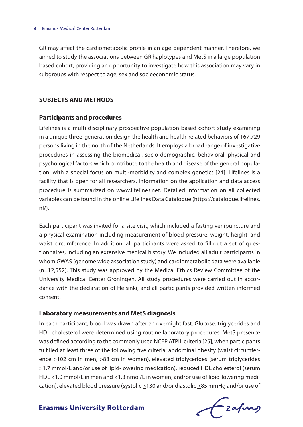GR may affect the cardiometabolic profile in an age-dependent manner. Therefore, we aimed to study the associations between GR haplotypes and MetS in a large population based cohort, providing an opportunity to investigate how this association may vary in subgroups with respect to age, sex and socioeconomic status.

#### **Subjects and methods**

#### **Participants and procedures**

Lifelines is a multi-disciplinary prospective population-based cohort study examining in a unique three-generation design the health and health-related behaviors of 167,729 persons living in the north of the Netherlands. It employs a broad range of investigative procedures in assessing the biomedical, socio-demographic, behavioral, physical and psychological factors which contribute to the health and disease of the general population, with a special focus on multi-morbidity and complex genetics [24]. Lifelines is a facility that is open for all researchers. Information on the application and data access procedure is summarized on www.lifelines.net. Detailed information on all collected variables can be found in the online Lifelines Data Catalogue (https://catalogue.lifelines.  $n!/$ ).

Each participant was invited for a site visit, which included a fasting venipuncture and a physical examination including measurement of blood pressure, weight, height, and waist circumference. In addition, all participants were asked to fill out a set of questionnaires, including an extensive medical history. We included all adult participants in whom GWAS (genome wide association study) and cardiometabolic data were available (n=12,552). This study was approved by the Medical Ethics Review Committee of the University Medical Center Groningen. All study procedures were carried out in accordance with the declaration of Helsinki, and all participants provided written informed consent.

#### **Laboratory measurements and MetS diagnosis**

In each participant, blood was drawn after an overnight fast. Glucose, triglycerides and HDL cholesterol were determined using routine laboratory procedures. MetS presence was defined according to the commonly used NCEP ATPIII criteria [25], when participants fulfilled at least three of the following five criteria: abdominal obesity (waist circumference ≥102 cm in men, ≥88 cm in women), elevated triglycerides (serum triglycerides >1.7 mmol/L and/or use of lipid-lowering medication), reduced HDL cholesterol (serum HDL <1.0 mmol/L in men and <1.3 nmol/L in women, and/or use of lipid-lowering medication), elevated blood pressure (systolic  $\geq$ 130 and/or diastolic  $\geq$ 85 mmHg and/or use of

Czafurz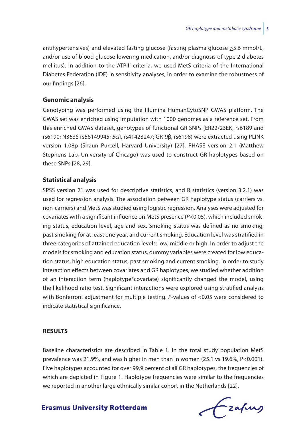antihypertensives) and elevated fasting glucose (fasting plasma glucose  $\geq$  5.6 mmol/L, and/or use of blood glucose lowering medication, and/or diagnosis of type 2 diabetes mellitus). In addition to the ATPIII criteria, we used MetS criteria of the International Diabetes Federation (IDF) in sensitivity analyses, in order to examine the robustness of our findings [26].

#### **Genomic analysis**

Genotyping was performed using the Illumina HumanCytoSNP GWAS platform. The GWAS set was enriched using imputation with 1000 genomes as a reference set. From this enriched GWAS dataset, genotypes of functional GR SNPs (ER22/23EK, rs6189 and rs6190; N363S rs56149945; *Bcl*I, rs41423247; GR-9β, rs6198) were extracted using PLINK version 1.08p (Shaun Purcell, Harvard University) [27]. PHASE version 2.1 (Matthew Stephens Lab, University of Chicago) was used to construct GR haplotypes based on these SNPs [28, 29].

#### **Statistical analysis**

SPSS version 21 was used for descriptive statistics, and R statistics (version 3.2.1) was used for regression analysis. The association between GR haplotype status (carriers vs. non-carriers) and MetS was studied using logistic regression. Analyses were adjusted for covariates with a significant influence on MetS presence (*P*<0.05), which included smoking status, education level, age and sex. Smoking status was defined as no smoking, past smoking for at least one year, and current smoking. Education level was stratified in three categories of attained education levels: low, middle or high. In order to adjust the models for smoking and education status, dummy variables were created for low education status, high education status, past smoking and current smoking. In order to study interaction effects between covariates and GR haplotypes, we studied whether addition of an interaction term (haplotype\*covariate) significantly changed the model, using the likelihood ratio test. Significant interactions were explored using stratified analysis with Bonferroni adjustment for multiple testing. *P*-values of <0.05 were considered to indicate statistical significance.

#### **Results**

Baseline characteristics are described in Table 1. In the total study population MetS prevalence was 21.9%, and was higher in men than in women (25.1 vs 19.6%, P<0.001). Five haplotypes accounted for over 99.9 percent of all GR haplotypes, the frequencies of which are depicted in Figure 1. Haplotype frequencies were similar to the frequencies we reported in another large ethnically similar cohort in the Netherlands [22].

Czapurs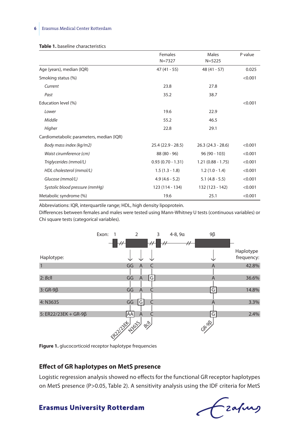#### **6** Erasmus Medical Center Rotterdam

|                                          | Females             | Males               | P value |
|------------------------------------------|---------------------|---------------------|---------|
|                                          | $N = 7327$          | $N = 5225$          |         |
| Age (years), median (IQR)                | $47(41 - 55)$       | $48(41 - 57)$       | 0.025   |
| Smoking status (%)                       |                     |                     | < 0.001 |
| Current                                  | 23.8                | 27.8                |         |
| Past                                     | 35.2                | 38.7                |         |
| Education level (%)                      |                     |                     | < 0.001 |
| Lower                                    | 19.6                | 22.9                |         |
| Middle                                   | 55.2                | 46.5                |         |
| Higher                                   | 22.8                | 29.1                |         |
| Cardiometabolic parameters, median (IQR) |                     |                     |         |
| Body mass index (kg/m2)                  | $25.4(22.9 - 28.5)$ | $26.3(24.3 - 28.6)$ | < 0.001 |
| Waist cirumference (cm)                  | $88(80 - 96)$       | $96(90 - 103)$      | < 0.001 |
| Triglycerides (mmol/L)                   | $0.93(0.70 - 1.31)$ | $1.21(0.88 - 1.75)$ | < 0.001 |
| HDL cholesterol (mmol/L)                 | $1.5(1.3 - 1.8)$    | $1.2(1.0 - 1.4)$    | < 0.001 |
| Glucose (mmol/L)                         | $4.9(4.6 - 5.2)$    | $5.1$ (4.8 - 5.5)   | < 0.001 |
| Systolic blood pressure (mmHg)           | 123 (114 - 134)     | 132 (123 - 142)     | < 0.001 |
| Metabolic syndrome (%)                   | 19.6                | 25.1                | < 0.001 |

Abbreviations: IQR, interquartile range; HDL, high density lipoprotein.

Differences between females and males were tested using Mann-Whitney U tests (continuous variables) or Chi square tests (categorical variables).



**Figure 1.** glucocorticoid receptor haplotype frequencies

#### **Effect of GR haplotypes on MetS presence**

Logistic regression analysis showed no effects for the functional GR receptor haplotypes on MetS presence (P>0.05, Table 2). A sensitivity analysis using the IDF criteria for MetS

Frahing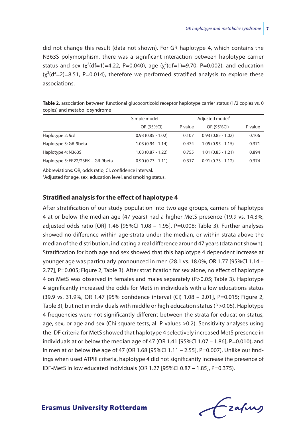did not change this result (data not shown). For GR haplotype 4, which contains the N363S polymorphism, there was a significant interaction between haplotype carrier status and sex ( $\chi^2$ (df=1)=4.22, P=0.040), age ( $\chi^2$ (df=1)=9.70, P=0.002), and education  $(x^2(df=2)=8.51$ , P=0.014), therefore we performed stratified analysis to explore these associations.

| copies) and metabolic syndrome |                     |                             |                     |         |  |  |
|--------------------------------|---------------------|-----------------------------|---------------------|---------|--|--|
|                                | Simple model        | Adjusted model <sup>a</sup> |                     |         |  |  |
|                                | OR (95%CI)          | P value                     | OR (95%CI)          | P value |  |  |
| Haplotype 2: Bcll              | $0.93(0.85 - 1.02)$ | 0.107                       | $0.93(0.85 - 1.02)$ | 0.106   |  |  |
| Haplotype 3: GR-9beta          | $1.03(0.94 - 1.14)$ | 0.474                       | $1.05(0.95 - 1.15)$ | 0.371   |  |  |
| Haplotype 4: N363S             | $1.03(0.87 - 1.22)$ | 0.755                       | $1.01(0.85 - 1.21)$ | 0.894   |  |  |

Haplotype 5: ER22/23EK + GR-9beta 0.90 (0.73 - 1.11) 0.317 0.91 (0.73 - 1.12) 0.374

Table 2. association between functional glucocorticoid receptor haplotype carrier status (1/2 copies vs. 0

Abbreviations: OR, odds ratio; CI, confidence interval.

<sup>a</sup>Adjusted for age, sex, education level, and smoking status.

#### **Stratified analysis for the effect of haplotype 4**

After stratification of our study population into two age groups, carriers of haplotype 4 at or below the median age (47 years) had a higher MetS presence (19.9 vs. 14.3%, adjusted odds ratio  $[OR]$  1.46  $[95\%$ CI 1.08 - 1.95], P=0.008; Table 3). Further analyses showed no difference within age-strata under the median, or within strata above the median of the distribution, indicating a real difference around 47 years (data not shown). Stratification for both age and sex showed that this haplotype 4 dependent increase at younger age was particularly pronounced in men (28.1 vs. 18.0%, OR 1.77 [95%CI 1.14 – 2.77], P=0.005; Figure 2, Table 3). After stratification for sex alone, no effect of haplotype 4 on MetS was observed in females and males separately (P>0.05; Table 3). Haplotype 4 significantly increased the odds for MetS in individuals with a low educations status (39.9 vs. 31.9%, OR 1.47 [95% confidence interval (CI) 1.08 – 2.01], P=0.015; Figure 2, Table 3), but not in individuals with middle or high education status (P>0.05). Haplotype 4 frequencies were not significantly different between the strata for education status, age, sex, or age and sex (Chi square tests, all P values >0.2). Sensitivity analyses using the IDF criteria for MetS showed that haplotype 4 selectively increased MetS presence in individuals at or below the median age of 47 (OR 1.41 [95%CI 1.07 – 1.86], P=0.010), and in men at or below the age of 47 (OR 1.68 [95%CI 1.11 – 2.55], P=0.007). Unlike our findings when used ATPIII criteria, haplotype 4 did not significantly increase the presence of IDF-MetS in low educated individuals (OR 1.27 [95%CI 0.87 – 1.85], P=0.375).

- zafurg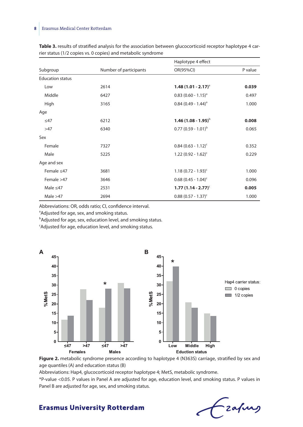#### **8** Erasmus Medical Center Rotterdam

|                         |                        | Haplotype 4 effect                |         |  |
|-------------------------|------------------------|-----------------------------------|---------|--|
| Subgroup                | Number of participants | OR(95%CI)                         | P value |  |
| <b>Education status</b> |                        |                                   |         |  |
| Low                     | 2614                   | $1.48(1.01 - 2.17)^{3}$           | 0.039   |  |
| Middle                  | 6427                   | $0.83$ (0.60 - 1.15) <sup>a</sup> | 0.497   |  |
| High                    | 3165                   | $0.84$ (0.49 - 1.44) <sup>a</sup> | 1.000   |  |
| Age                     |                        |                                   |         |  |
| $\leq$ 47               | 6212                   | 1.46 $(1.08 - 1.95)^{b}$          | 0.008   |  |
| >47                     | 6340                   | $0.77(0.59 - 1.01)^b$             | 0.065   |  |
| Sex                     |                        |                                   |         |  |
| Female                  | 7327                   | $0.84$ (0.63 - 1.12) <sup>c</sup> | 0.352   |  |
| Male                    | 5225                   | $1.22(0.92 - 1.62)^{c}$           | 0.229   |  |
| Age and sex             |                        |                                   |         |  |
| Female $\leq 47$        | 3681                   | $1.18(0.72 - 1.93)^{c}$           | 1.000   |  |
| Female >47              | 3646                   | $0.68$ (0.45 - 1.04) <sup>c</sup> | 0.096   |  |
| Male $\leq 47$          | 2531                   | $1.77(1.14 - 2.77)^{c}$           | 0.005   |  |
| Male $>47$              | 2694                   | $0.88(0.57 - 1.37)^c$             | 1.000   |  |

**Table 3.** results of stratified analysis for the association between glucocorticoid receptor haplotype 4 carrier status (1/2 copies vs. 0 copies) and metabolic syndrome

Abbreviations: OR, odds ratio; CI, confidence interval.

<sup>a</sup>Adjusted for age, sex, and smoking status.

**bAdjusted for age, sex, education level, and smoking status.** 

c Adjusted for age, education level, and smoking status.



Figure 2. metabolic syndrome presence according to haplotype 4 (N363S) carriage, stratified by sex and age quantiles (A) and education status (B)

Abbreviations: Hap4, glucocorticoid receptor haplotype 4; MetS, metabolic syndrome.

\*P-value <0.05. P values in Panel A are adjusted for age, education level, and smoking status. P values in Panel B are adjusted for age, sex, and smoking status.

Ezapurs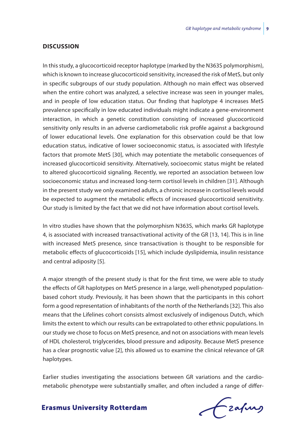#### **Discussion**

In this study, a glucocorticoid receptor haplotype (marked by the N363S polymorphism), which is known to increase glucocorticoid sensitivity, increased the risk of MetS, but only in specific subgroups of our study population. Although no main effect was observed when the entire cohort was analyzed, a selective increase was seen in younger males, and in people of low education status. Our finding that haplotype 4 increases MetS prevalence specifically in low educated individuals might indicate a gene-environment interaction, in which a genetic constitution consisting of increased glucocorticoid sensitivity only results in an adverse cardiometabolic risk profile against a background of lower educational levels. One explanation for this observation could be that low education status, indicative of lower socioeconomic status, is associated with lifestyle factors that promote MetS [30], which may potentiate the metabolic consequences of increased glucocorticoid sensitivity. Alternatively, socioecomic status might be related to altered glucocorticoid signaling. Recently, we reported an association between low socioeconomic status and increased long-term cortisol levels in children [31]. Although in the present study we only examined adults, a chronic increase in cortisol levels would be expected to augment the metabolic effects of increased glucocorticoid sensitivity. Our study is limited by the fact that we did not have information about cortisol levels.

In vitro studies have shown that the polymorphism N363S, which marks GR haplotype 4, is associated with increased transactivational activity of the GR [13, 14]. This is in line with increased MetS presence, since transactivation is thought to be responsible for metabolic effects of glucocorticoids [15], which include dyslipidemia, insulin resistance and central adiposity [5].

A major strength of the present study is that for the first time, we were able to study the effects of GR haplotypes on MetS presence in a large, well-phenotyped populationbased cohort study. Previously, it has been shown that the participants in this cohort form a good representation of inhabitants of the north of the Netherlands [32]. This also means that the Lifelines cohort consists almost exclusively of indigenous Dutch, which limits the extent to which our results can be extrapolated to other ethnic populations. In our study we chose to focus on MetS presence, and not on associations with mean levels of HDL cholesterol, triglycerides, blood pressure and adiposity. Because MetS presence has a clear prognostic value [2], this allowed us to examine the clinical relevance of GR haplotypes.

Earlier studies investigating the associations between GR variations and the cardiometabolic phenotype were substantially smaller, and often included a range of differ-

Fraques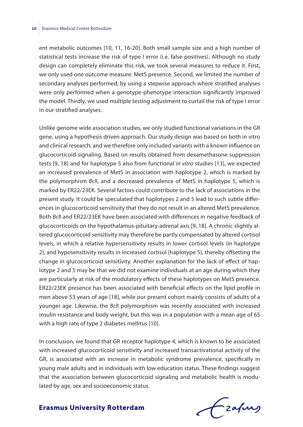ent metabolic outcomes [10, 11, 16-20]. Both small sample size and a high number of statistical tests increase the risk of type I error (i.e. false positives). Although no study design can completely eliminate this risk, we took several measures to reduce it. First, we only used one outcome measure: MetS presence. Second, we limited the number of secondary analyses performed, by using a stepwise approach where stratified analyses were only performed when a genotype-phenotype interaction significantly improved the model. Thirdly, we used multiple testing adjustment to curtail the risk of type I error in our stratified analyses.

Unlike genome wide association studies, we only studied functional variations in the GR gene, using a hypothesis driven approach. Our study design was based on both in vitro and clinical research, and we therefore only included variants with a known influence on glucocorticoid signaling. Based on results obtained from dexamethasone suppression tests [9, 18] and for haplotype 5 also from functional *in vitro* studies [13], we expected an increased prevalence of MetS in association with haplotype 2, which is marked by the polymorphism *Bcl*I, and a decreased prevalence of MetS in haplotype 5, which is marked by ER22/23EK. Several factors could contribute to the lack of associations in the present study. It could be speculated that haplotypes 2 and 5 lead to such subtle differences in glucocorticoid sensitivity that they do not result in an altered MetS prevalence. Both *Bcl*I and ER22/23EK have been associated with differences in negative feedback of glucocorticoids on the hypothalamus-pituitary-adrenal axis [9, 18]. A chronic slightly altered glucocorticoid sensitivity may therefore be partly compensated by altered cortisol levels, in which a relative hypersensitivity results in lower cortisol levels (in haplotype 2), and hyposensitivity results in increased cortisol (haplotype 5), thereby offsetting the change in glucocorticoid sensitivity. Another explanation for the lack of effect of haplotype 2 and 5 may be that we did not examine individuals at an age during which they are particularly at risk of the modulatory effects of these haplotypes on MetS presence. ER22/23EK presence has been associated with beneficial effects on the lipid profile in men above 53 years of age [18], while our present cohort mainly consists of adults of a younger age. Likewise, the *Bcl*I polymorphism was recently associated with increased insulin resistance and body weight, but this was in a population with a mean age of 65 with a high rate of type 2 diabetes mellitus [10].

In conclusion, we found that GR receptor haplotype 4, which is known to be associated with increased glucocorticoid sensitivity and increased transactivational activity of the GR, is associated with an increase in metabolic syndrome prevalence, specifically in young male adults and in individuals with low education status. These findings suggest that the association between glucocorticoid signaling and metabolic health is modulated by age, sex and socioeconomic status.

# frafing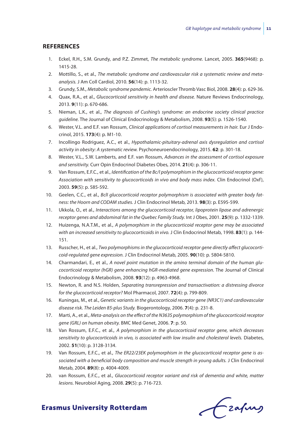#### **References**

- 1. Eckel, R.H., S.M. Grundy, and P.Z. Zimmet, *The metabolic syndrome.* Lancet, 2005. **365**(9468): p. 1415-28.
- 2. Mottillo, S., et al., *The metabolic syndrome and cardiovascular risk a systematic review and metaanalysis.* J Am Coll Cardiol, 2010. **56**(14): p. 1113-32.
- 3. Grundy, S.M., *Metabolic syndrome pandemic.* Arterioscler Thromb Vasc Biol, 2008. **28**(4): p. 629-36.
- 4. Quax, R.A., et al., *Glucocorticoid sensitivity in health and disease.* Nature Reviews Endocrinology, 2013. **9**(11): p. 670-686.
- 5. Nieman, L.K., et al., *The diagnosis of Cushing's syndrome: an endocrine society clinical practice guideline.* The Journal of Clinical Endocrinology & Metabolism, 2008. **93**(5): p. 1526-1540.
- 6. Wester, V.L. and E.F. van Rossum, *Clinical applications of cortisol measurements in hair.* Eur J Endocrinol, 2015. **173**(4): p. M1-10.
- 7. Incollingo Rodriguez, A.C., et al., *Hypothalamic-pituitary-adrenal axis dysregulation and cortisol activity in obesity: A systematic review.* Psychoneuroendocrinology, 2015. **62**: p. 301-18.
- 8. Wester, V.L., S.W. Lamberts, and E.F. van Rossum, *Advances in the assessment of cortisol exposure and sensitivity.* Curr Opin Endocrinol Diabetes Obes, 2014. **21**(4): p. 306-11.
- 9. Van Rossum, E.F.C., et al., *Identification of the Bc/I polymorphism in the glucocorticoid receptor gene:*  Association with sensitivity to glucocorticoids in vivo and body mass index. Clin Endocrinol (Oxf), 2003. **59**(5): p. 585-592.
- 10. Geelen, C.C., et al., *BclI glucocorticoid receptor polymorphism is associated with greater body fatness: the Hoorn and CODAM studies.* J Clin Endocrinol Metab, 2013. **98**(3): p. E595-599.
- 11. Ukkola, O., et al., *Interactions among the glucocorticoid receptor, lipoprotein lipase and adrenergic receptor genes and abdominal fat in the Quebec Family Study.* Int J Obes, 2001. **25**(9): p. 1332-1339.
- 12. Huizenga, N.A.T.M., et al., *A polymorphism in the glucocorticoid receptor gene may be associated with an increased sensitivity to glucocorticoids in vivo.* J Clin Endocrinol Metab, 1998. **83**(1): p. 144- 151.
- 13. Russcher, H., et al., *Two polymorphisms in the glucocorticoid receptor gene directly affect glucocorticoid-regulated gene expression.* J Clin Endocrinol Metab, 2005. **90**(10): p. 5804-5810.
- 14. Charmandari, E., et al., *A novel point mutation in the amino terminal domain of the human glucocorticoid receptor (hGR) gene enhancing hGR-mediated gene expression.* The Journal of Clinical Endocrinology & Metabolism, 2008. **93**(12): p. 4963-4968.
- 15. Newton, R. and N.S. Holden, *Separating transrepression and transactivation: a distressing divorce for the glucocorticoid receptor?* Mol Pharmacol, 2007. **72**(4): p. 799-809.
- 16. Kuningas, M., et al., *Genetic variants in the glucocorticoid receptor gene (NR3C1) and cardiovascular disease risk. The Leiden 85-plus Study.* Biogerontology, 2006. **7**(4): p. 231-8.
- 17. Marti, A., et al., *Meta-analysis on the effect of the N363S polymorphism of the glucocorticoid receptor gene (GRL) on human obesity.* BMC Med Genet, 2006. **7**: p. 50.
- 18. Van Rossum, E.F.C., et al., *A polymorphism in the glucocorticoid receptor gene, which decreases sensitivity to glucocorticoids in vivo, is associated with low insulin and cholesterol levels.* Diabetes, 2002. **51**(10): p. 3128-3134.
- 19. Van Rossum, E.F.C., et al., *The ER22/23EK polymorphism in the glucocorticoid receptor gene is associated with a beneficial body composition and muscle strength in young adults.* J Clin Endocrinol Metab, 2004. **89**(8): p. 4004-4009.
- 20. van Rossum, E.F.C., et al., *Glucocorticoid receptor variant and risk of dementia and white, matter lesions.* Neurobiol Aging, 2008. **29**(5): p. 716-723.

Czafing